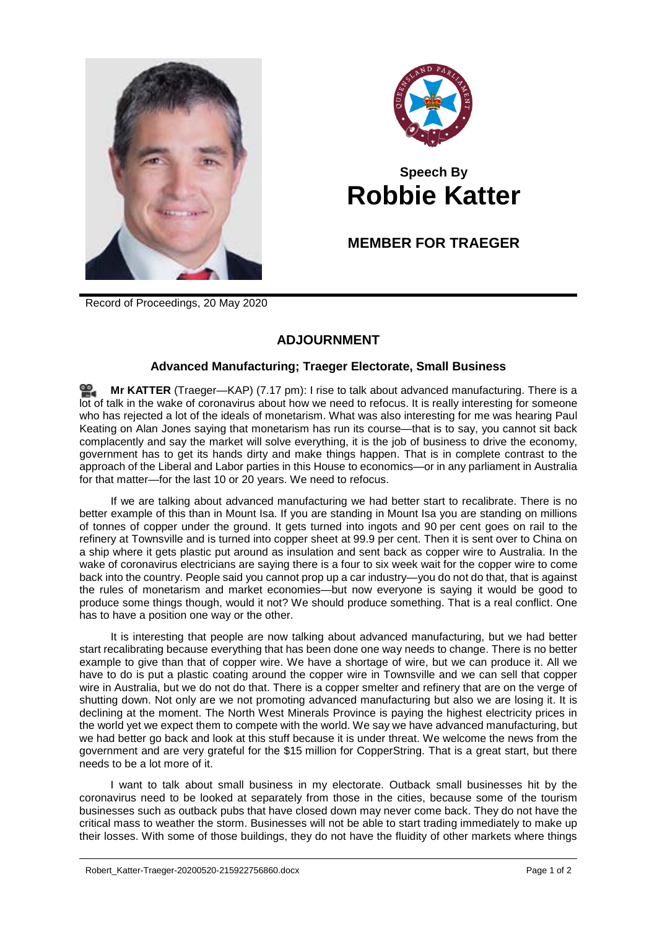



## **Speech By Robbie Katter**

## **MEMBER FOR TRAEGER**

Record of Proceedings, 20 May 2020

## **ADJOURNMENT**

## **Advanced Manufacturing; Traeger Electorate, Small Business**

**Mr [KATTER](http://www.parliament.qld.gov.au/docs/find.aspx?id=0Mba20200520_191753)** (Traeger—KAP) (7.17 pm): I rise to talk about advanced manufacturing. There is a lot of talk in the wake of coronavirus about how we need to refocus. It is really interesting for someone who has rejected a lot of the ideals of monetarism. What was also interesting for me was hearing Paul Keating on Alan Jones saying that monetarism has run its course—that is to say, you cannot sit back complacently and say the market will solve everything, it is the job of business to drive the economy, government has to get its hands dirty and make things happen. That is in complete contrast to the approach of the Liberal and Labor parties in this House to economics—or in any parliament in Australia for that matter—for the last 10 or 20 years. We need to refocus.

If we are talking about advanced manufacturing we had better start to recalibrate. There is no better example of this than in Mount Isa. If you are standing in Mount Isa you are standing on millions of tonnes of copper under the ground. It gets turned into ingots and 90 per cent goes on rail to the refinery at Townsville and is turned into copper sheet at 99.9 per cent. Then it is sent over to China on a ship where it gets plastic put around as insulation and sent back as copper wire to Australia. In the wake of coronavirus electricians are saying there is a four to six week wait for the copper wire to come back into the country. People said you cannot prop up a car industry—you do not do that, that is against the rules of monetarism and market economies—but now everyone is saying it would be good to produce some things though, would it not? We should produce something. That is a real conflict. One has to have a position one way or the other.

It is interesting that people are now talking about advanced manufacturing, but we had better start recalibrating because everything that has been done one way needs to change. There is no better example to give than that of copper wire. We have a shortage of wire, but we can produce it. All we have to do is put a plastic coating around the copper wire in Townsville and we can sell that copper wire in Australia, but we do not do that. There is a copper smelter and refinery that are on the verge of shutting down. Not only are we not promoting advanced manufacturing but also we are losing it. It is declining at the moment. The North West Minerals Province is paying the highest electricity prices in the world yet we expect them to compete with the world. We say we have advanced manufacturing, but we had better go back and look at this stuff because it is under threat. We welcome the news from the government and are very grateful for the \$15 million for CopperString. That is a great start, but there needs to be a lot more of it.

I want to talk about small business in my electorate. Outback small businesses hit by the coronavirus need to be looked at separately from those in the cities, because some of the tourism businesses such as outback pubs that have closed down may never come back. They do not have the critical mass to weather the storm. Businesses will not be able to start trading immediately to make up their losses. With some of those buildings, they do not have the fluidity of other markets where things